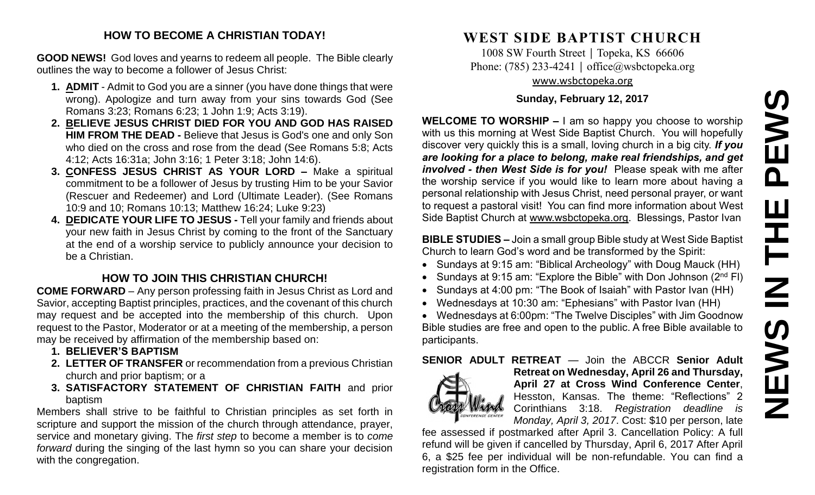#### **HOW TO BECOME A CHRISTIAN TODAY!**

**GOOD NEWS!** God loves and yearns to redeem all people. The Bible clearly outlines the way to become a follower of Jesus Christ:

- **1. ADMIT** Admit to God you are a sinner (you have done things that were wrong). Apologize and turn away from your sins towards God (See Romans 3:23; Romans 6:23; 1 John 1:9; Acts 3:19).
- **2. BELIEVE JESUS CHRIST DIED FOR YOU AND GOD HAS RAISED HIM FROM THE DEAD -** Believe that Jesus is God's one and only Son who died on the cross and rose from the dead (See Romans 5:8; Acts 4:12; Acts 16:31a; John 3:16; 1 Peter 3:18; John 14:6).
- **3. CONFESS JESUS CHRIST AS YOUR LORD –** Make a spiritual commitment to be a follower of Jesus by trusting Him to be your Savior (Rescuer and Redeemer) and Lord (Ultimate Leader). (See Romans 10:9 and 10; Romans 10:13; Matthew 16:24; Luke 9:23)
- **4. DEDICATE YOUR LIFE TO JESUS -** Tell your family and friends about your new faith in Jesus Christ by coming to the front of the Sanctuary at the end of a worship service to publicly announce your decision to be a Christian.

## **HOW TO JOIN THIS CHRISTIAN CHURCH!**

**COME FORWARD** – Any person professing faith in Jesus Christ as Lord and Savior, accepting Baptist principles, practices, and the covenant of this church may request and be accepted into the membership of this church. Upon request to the Pastor, Moderator or at a meeting of the membership, a person may be received by affirmation of the membership based on:

- **1. BELIEVER'S BAPTISM**
- **2. LETTER OF TRANSFER** or recommendation from a previous Christian church and prior baptism; or a
- **3. SATISFACTORY STATEMENT OF CHRISTIAN FAITH** and prior baptism

Members shall strive to be faithful to Christian principles as set forth in scripture and support the mission of the church through attendance, prayer, service and monetary giving. The *first step* to become a member is to *come forward* during the singing of the last hymn so you can share your decision with the congregation.

# **WEST SIDE BAPTIST CHURCH**

1008 SW Fourth Street | Topeka, KS 66606 Phone: (785) 233-4241 │ [office@wsbctopeka.org](mailto:office@wsbctopeka.org) [www.wsbctopeka.org](http://www.wsbctopeka.org/)

### **Sunday, February 12, 2017**

**WELCOME TO WORSHIP –** I am so happy you choose to worship with us this morning at West Side Baptist Church. You will hopefully discover very quickly this is a small, loving church in a big city. *If you are looking for a place to belong, make real friendships, and get involved - then West Side is for you!* Please speak with me after the worship service if you would like to learn more about having a personal relationship with Jesus Christ, need personal prayer, or want to request a pastoral visit! You can find more information about West Side Baptist Church at [www.wsbctopeka.org.](http://www.wsbctopeka.org/) Blessings, Pastor Ivan

**BIBLE STUDIES –** Join a small group Bible study at West Side Baptist Church to learn God's word and be transformed by the Spirit:

- Sundays at 9:15 am: "Biblical Archeology" with Doug Mauck (HH)
- Sundays at 9:15 am: "Explore the Bible" with Don Johnson (2<sup>nd</sup> FI)
- Sundays at 4:00 pm: "The Book of Isaiah" with Pastor Ivan (HH)
- Wednesdays at 10:30 am: "Ephesians" with Pastor Ivan (HH)

 Wednesdays at 6:00pm: "The Twelve Disciples" with Jim Goodnow Bible studies are free and open to the public. A free Bible available to participants.

## **SENIOR ADULT RETREAT** — Join the ABCCR **Senior Adult**



**Retreat on Wednesday, April 26 and Thursday, April 27 at Cross Wind Conference Center**, Hesston, Kansas. The theme: "Reflections" 2 Corinthians 3:18. *Registration deadline is Monday, April 3, 2017*. Cost: \$10 per person, late

fee assessed if postmarked after April 3. Cancellation Policy: A full refund will be given if cancelled by Thursday, April 6, 2017 After April 6, a \$25 fee per individual will be non-refundable. You can find a registration form in the Office.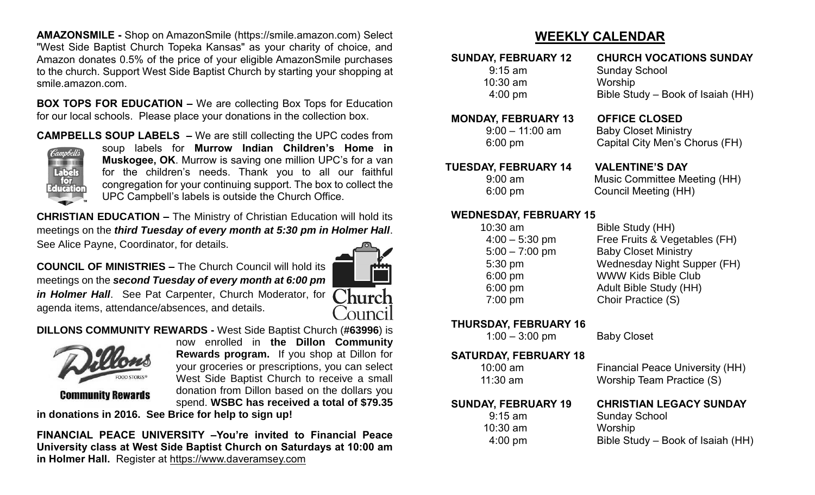**AMAZONSMILE -** Shop on AmazonSmile (https://smile.amazon.com) Select "West Side Baptist Church Topeka Kansas" as your charity of choice, and Amazon donates 0.5% of the price of your eligible AmazonSmile purchases to the church. Support West Side Baptist Church by starting your shopping at smile.amazon.com.

**BOX TOPS FOR EDUCATION –** We are collecting Box Tops for Education for our local schools. Please place your donations in the collection box.

**CAMPBELLS SOUP LABELS –** We are still collecting the UPC codes from



soup labels for **Murrow Indian Children's Home in Muskogee, OK**. Murrow is saving one million UPC's for a van for the children's needs. Thank you to all our faithful congregation for your continuing support. The box to collect the UPC Campbell's labels is outside the Church Office.

**CHRISTIAN EDUCATION –** The Ministry of Christian Education will hold its meetings on the *third Tuesday of every month at 5:30 pm in Holmer Hall*. See Alice Payne, Coordinator, for details.

**COUNCIL OF MINISTRIES –** The Church Council will hold its meetings on the *second Tuesday of every month at 6:00 pm in Holmer Hall*. See Pat Carpenter, Church Moderator, for agenda items, attendance/absences, and details.



**DILLONS COMMUNITY REWARDS -** West Side Baptist Church (**#63996**) is



**Community Rewards** 

now enrolled in **the Dillon Community Rewards program.** If you shop at Dillon for your groceries or prescriptions, you can select West Side Baptist Church to receive a small donation from Dillon based on the dollars you spend. **WSBC has received a total of \$79.35** 

**in donations in 2016. See Brice for help to sign up!**

**FINANCIAL PEACE UNIVERSITY –You're invited to Financial Peace University class at West Side Baptist Church on Saturdays at 10:00 am in Holmer Hall.** Register at [https://www.daveramsey.com](https://www.daveramsey.com/)

# **WEEKLY CALENDAR**

9:15 am Sunday School 10:30 am Worship

 **SUNDAY, FEBRUARY 12 CHURCH VOCATIONS SUNDAY** 4:00 pm Bible Study – Book of Isaiah (HH)

#### **MONDAY, FEBRUARY 13 OFFICE CLOSED**

 9:00 – 11:00 am Baby Closet Ministry 6:00 pm Capital City Men's Chorus (FH)

 **TUESDAY, FEBRUARY 14 VALENTINE'S DAY**

9:00 am Music Committee Meeting (HH) 6:00 pm Council Meeting (HH)

#### **WEDNESDAY, FEBRUARY 15**

10:30 am Bible Study (HH)

 4:00 – 5:30 pm Free Fruits & Vegetables (FH) 5:00 – 7:00 pm Baby Closet Ministry 5:30 pm Wednesday Night Supper (FH) 6:00 pm WWW Kids Bible Club 6:00 pm Adult Bible Study (HH) 7:00 pm Choir Practice (S)

**THURSDAY, FEBRUARY 16** 

1:00 – 3:00 pm Baby Closet

#### **SATURDAY, FEBRUARY 18**

11:30 am Worship Team Practice (S)

9:15 am Sunday School

10:30 am Worship

10:00 am Financial Peace University (HH)

## **SUNDAY, FEBRUARY 19 CHRISTIAN LEGACY SUNDAY**

4:00 pm Bible Study – Book of Isaiah (HH)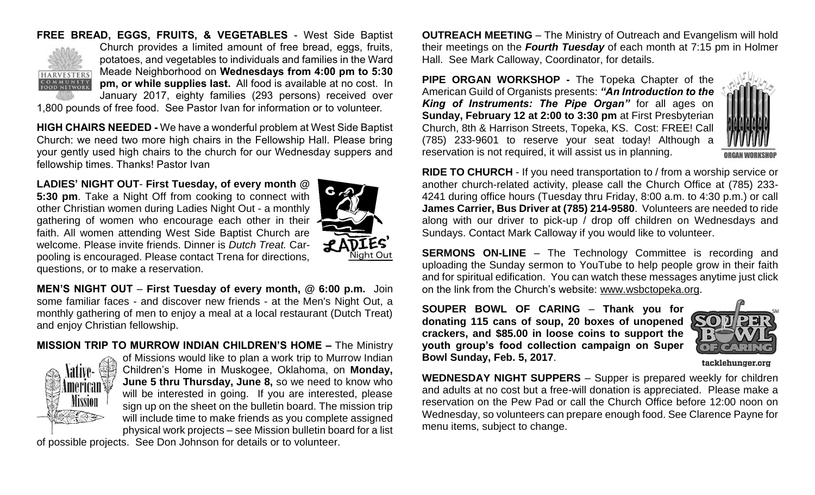## **FREE BREAD, EGGS, FRUITS, & VEGETABLES** - West Side Baptist



Church provides a limited amount of free bread, eggs, fruits, potatoes, and vegetables to individuals and families in the Ward Meade Neighborhood on **Wednesdays from 4:00 pm to 5:30 pm, or while supplies last.** All food is available at no cost. In January 2017, eighty families (293 persons) received over

1,800 pounds of free food. See Pastor Ivan for information or to volunteer.

**HIGH CHAIRS NEEDED -** We have a wonderful problem at West Side Baptist Church: we need two more high chairs in the Fellowship Hall. Please bring your gently used high chairs to the church for our Wednesday suppers and fellowship times. Thanks! Pastor Ivan

**LADIES' NIGHT OUT**- **First Tuesday, of every month @ 5:30 pm**. Take a Night Off from cooking to connect with other Christian women during Ladies Night Out - a monthly gathering of women who encourage each other in their  $\cdot$ faith. All women attending West Side Baptist Church are welcome. Please invite friends. Dinner is *Dutch Treat.* Carpooling is encouraged. Please contact Trena for directions, questions, or to make a reservation.



**MEN'S NIGHT OUT** – **First Tuesday of every month, @ 6:00 p.m.** Join some familiar faces - and discover new friends - at the Men's Night Out, a monthly gathering of men to enjoy a meal at a local restaurant (Dutch Treat) and enjoy Christian fellowship.

**MISSION TRIP TO MURROW INDIAN CHILDREN'S HOME –** The Ministry



of Missions would like to plan a work trip to Murrow Indian Children's Home in Muskogee, Oklahoma, on **Monday, June 5 thru Thursday, June 8,** so we need to know who will be interested in going. If you are interested, please sign up on the sheet on the bulletin board. The mission trip will include time to make friends as you complete assigned physical work projects – see Mission bulletin board for a list

of possible projects. See Don Johnson for details or to volunteer.

**OUTREACH MEETING** – The Ministry of Outreach and Evangelism will hold their meetings on the *Fourth Tuesday* of each month at 7:15 pm in Holmer Hall. See Mark Calloway, Coordinator, for details.

**PIPE ORGAN WORKSHOP -** The Topeka Chapter of the American Guild of Organists presents: *"An Introduction to the King of Instruments: The Pipe Organ"* for all ages on **Sunday, February 12 at 2:00 to 3:30 pm** at First Presbyterian Church, 8th & Harrison Streets, Topeka, KS. Cost: FREE! Call (785) 233-9601 to reserve your seat today! Although a reservation is not required, it will assist us in planning.



**RIDE TO CHURCH** - If you need transportation to / from a worship service or another church-related activity, please call the Church Office at (785) 233- 4241 during office hours (Tuesday thru Friday, 8:00 a.m. to 4:30 p.m.) or call **James Carrier, Bus Driver at (785) 214-9580**. Volunteers are needed to ride along with our driver to pick-up / drop off children on Wednesdays and Sundays. Contact Mark Calloway if you would like to volunteer.

**SERMONS ON-LINE** – The Technology Committee is recording and uploading the Sunday sermon to YouTube to help people grow in their faith and for spiritual edification. You can watch these messages anytime just click on the link from the Church's website: [www.wsbctopeka.org.](http://www.wsbctopeka.org/)

**SOUPER BOWL OF CARING** – **Thank you for donating 115 cans of soup, 20 boxes of unopened crackers, and \$85.00 in loose coins to support the youth group's food collection campaign on Super Bowl Sunday, Feb. 5, 2017**.



tacklehunger.org

**WEDNESDAY NIGHT SUPPERS** – Supper is prepared weekly for children and adults at no cost but a free-will donation is appreciated. Please make a reservation on the Pew Pad or call the Church Office before 12:00 noon on Wednesday, so volunteers can prepare enough food. See Clarence Payne for menu items, subject to change.